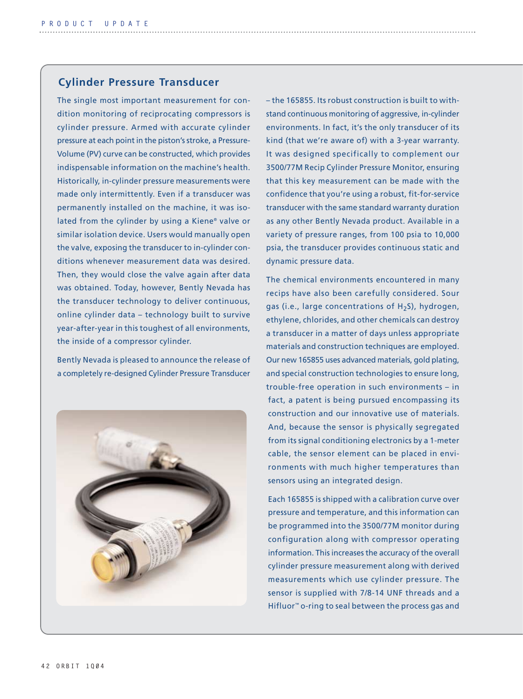## **Cylinder Pressure Transducer**

The single most important measurement for condition monitoring of reciprocating compressors is cylinder pressure. Armed with accurate cylinder pressure at each point in the piston's stroke, a Pressure-Volume (PV) curve can be constructed, which provides indispensable information on the machine's health. Historically, in-cylinder pressure measurements were made only intermittently. Even if a transducer was permanently installed on the machine, it was isolated from the cylinder by using a Kiene® valve or similar isolation device. Users would manually open the valve, exposing the transducer to in-cylinder conditions whenever measurement data was desired. Then, they would close the valve again after data was obtained. Today, however, Bently Nevada has the transducer technology to deliver continuous, online cylinder data – technology built to survive year-after-year in this toughest of all environments, the inside of a compressor cylinder.

Bently Nevada is pleased to announce the release of a completely re-designed Cylinder Pressure Transducer



– the 165855. Its robust construction is built to withstand continuous monitoring of aggressive, in-cylinder environments. In fact, it's the only transducer of its kind (that we're aware of) with a 3-year warranty. It was designed specifically to complement our 3500/77M Recip Cylinder Pressure Monitor, ensuring that this key measurement can be made with the confidence that you're using a robust, fit-for-service transducer with the same standard warranty duration as any other Bently Nevada product. Available in a variety of pressure ranges, from 100 psia to 10,000 psia, the transducer provides continuous static and dynamic pressure data.

The chemical environments encountered in many recips have also been carefully considered. Sour gas (i.e., large concentrations of  $H_2S$ ), hydrogen, ethylene, chlorides, and other chemicals can destroy a transducer in a matter of days unless appropriate materials and construction techniques are employed. Our new 165855 uses advanced materials, gold plating, and special construction technologies to ensure long, trouble-free operation in such environments – in fact, a patent is being pursued encompassing its construction and our innovative use of materials. And, because the sensor is physically segregated from its signal conditioning electronics by a 1-meter cable, the sensor element can be placed in environments with much higher temperatures than sensors using an integrated design.

Each 165855 is shipped with a calibration curve over pressure and temperature, and this information can be programmed into the 3500/77M monitor during configuration along with compressor operating information. This increases the accuracy of the overall cylinder pressure measurement along with derived measurements which use cylinder pressure. The sensor is supplied with 7/8-14 UNF threads and a Hifluor™ o-ring to seal between the process gas and